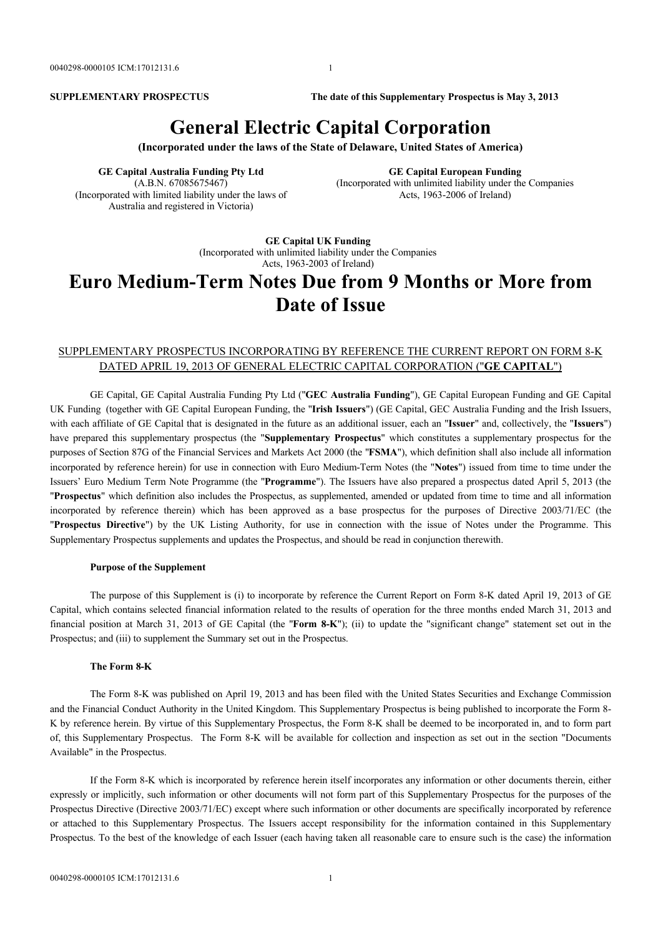**SUPPLEMENTARY PROSPECTUS The date of this Supplementary Prospectus is May 3, 2013**

# **General Electric Capital Corporation**

**(Incorporated under the laws of the State of Delaware, United States of America)**

**GE Capital Australia Funding Pty Ltd** (A.B.N. 67085675467) (Incorporated with limited liability under the laws of Australia and registered in Victoria)

**GE Capital European Funding** (Incorporated with unlimited liability under the Companies Acts, 1963-2006 of Ireland)

**GE Capital UK Funding** (Incorporated with unlimited liability under the Companies Acts, 1963-2003 of Ireland)

# **Euro Medium-Term Notes Due from 9 Months or More from Date of Issue**

### SUPPLEMENTARY PROSPECTUS INCORPORATING BY REFERENCE THE CURRENT REPORT ON FORM 8-K DATED APRIL 19, 2013 OF GENERAL ELECTRIC CAPITAL CORPORATION ("**GE CAPITAL**")

GE Capital, GE Capital Australia Funding Pty Ltd ("**GEC Australia Funding**"), GE Capital European Funding and GE Capital UK Funding (together with GE Capital European Funding, the "**Irish Issuers**") (GE Capital, GEC Australia Funding and the Irish Issuers, with each affiliate of GE Capital that is designated in the future as an additional issuer, each an "**Issuer**" and, collectively, the "**Issuers**") have prepared this supplementary prospectus (the "**Supplementary Prospectus**" which constitutes a supplementary prospectus for the purposes of Section 87G of the Financial Services and Markets Act 2000 (the "**FSMA**"), which definition shall also include all information incorporated by reference herein) for use in connection with Euro Medium-Term Notes (the "**Notes**") issued from time to time under the Issuers' Euro Medium Term Note Programme (the "**Programme**"). The Issuers have also prepared a prospectus dated April 5, 2013 (the "**Prospectus**" which definition also includes the Prospectus, as supplemented, amended or updated from time to time and all information incorporated by reference therein) which has been approved as a base prospectus for the purposes of Directive 2003/71/EC (the "**Prospectus Directive**") by the UK Listing Authority, for use in connection with the issue of Notes under the Programme. This Supplementary Prospectus supplements and updates the Prospectus, and should be read in conjunction therewith.

#### **Purpose of the Supplement**

The purpose of this Supplement is (i) to incorporate by reference the Current Report on Form 8-K dated April 19, 2013 of GE Capital, which contains selected financial information related to the results of operation for the three months ended March 31, 2013 and financial position at March 31, 2013 of GE Capital (the "**Form 8-K**"); (ii) to update the "significant change" statement set out in the Prospectus; and (iii) to supplement the Summary set out in the Prospectus.

#### **The Form 8-K**

The Form 8-K was published on April 19, 2013 and has been filed with the United States Securities and Exchange Commission and the Financial Conduct Authority in the United Kingdom. This Supplementary Prospectus is being published to incorporate the Form 8- K by reference herein. By virtue of this Supplementary Prospectus, the Form 8-K shall be deemed to be incorporated in, and to form part of, this Supplementary Prospectus. The Form 8-K will be available for collection and inspection as set out in the section "Documents Available" in the Prospectus.

If the Form 8-K which is incorporated by reference herein itself incorporates any information or other documents therein, either expressly or implicitly, such information or other documents will not form part of this Supplementary Prospectus for the purposes of the Prospectus Directive (Directive 2003/71/EC) except where such information or other documents are specifically incorporated by reference or attached to this Supplementary Prospectus. The Issuers accept responsibility for the information contained in this Supplementary Prospectus. To the best of the knowledge of each Issuer (each having taken all reasonable care to ensure such is the case) the information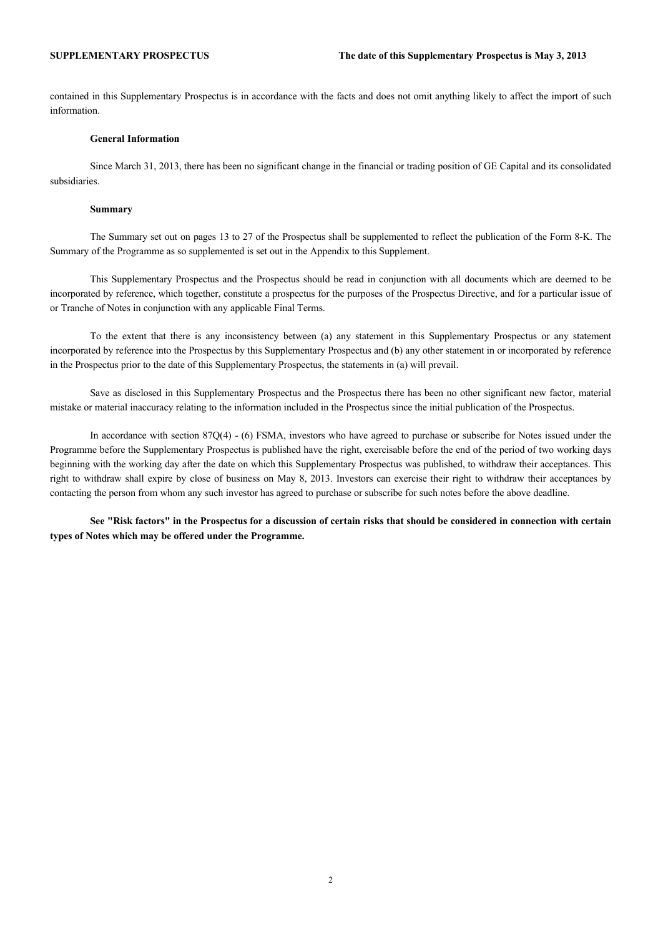contained in this Supplementary Prospectus is in accordance with the facts and does not omit anything likely to affect the import of such information.

#### **General Information**

Since March 31, 2013, there has been no significant change in the financial or trading position of GE Capital and its consolidated subsidiaries.

#### **Summary**

The Summary set out on pages 13 to 27 of the Prospectus shall be supplemented to reflect the publication of the Form 8-K. The Summary of the Programme as so supplemented is set out in the Appendix to this Supplement.

This Supplementary Prospectus and the Prospectus should be read in conjunction with all documents which are deemed to be incorporated by reference, which together, constitute a prospectus for the purposes of the Prospectus Directive, and for a particular issue of or Tranche of Notes in conjunction with any applicable Final Terms.

To the extent that there is any inconsistency between (a) any statement in this Supplementary Prospectus or any statement incorporated by reference into the Prospectus by this Supplementary Prospectus and (b) any other statement in or incorporated by reference in the Prospectus prior to the date of this Supplementary Prospectus, the statements in (a) will prevail.

Save as disclosed in this Supplementary Prospectus and the Prospectus there has been no other significant new factor, material mistake or material inaccuracy relating to the information included in the Prospectus since the initial publication of the Prospectus.

In accordance with section 87Q(4) - (6) FSMA, investors who have agreed to purchase or subscribe for Notes issued under the Programme before the Supplementary Prospectus is published have the right, exercisable before the end of the period of two working days beginning with the working day after the date on which this Supplementary Prospectus was published, to withdraw their acceptances. This right to withdraw shall expire by close of business on May 8, 2013. Investors can exercise their right to withdraw their acceptances by contacting the person from whom any such investor has agreed to purchase or subscribe for such notes before the above deadline.

**See "Risk factors" in the Prospectus for a discussion of certain risks that should be considered in connection with certain types of Notes which may be offered under the Programme.**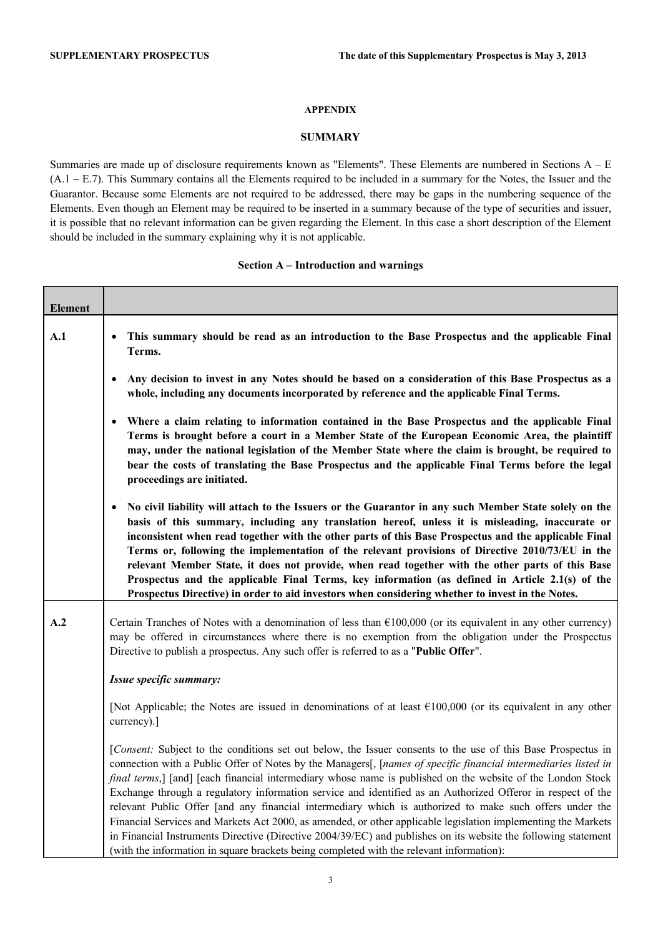#### **APPENDIX**

### **SUMMARY**

Summaries are made up of disclosure requirements known as "Elements". These Elements are numbered in Sections A – E (A.1 – E.7). This Summary contains all the Elements required to be included in a summary for the Notes, the Issuer and the Guarantor. Because some Elements are not required to be addressed, there may be gaps in the numbering sequence of the Elements. Even though an Element may be required to be inserted in a summary because of the type of securities and issuer, it is possible that no relevant information can be given regarding the Element. In this case a short description of the Element should be included in the summary explaining why it is not applicable.

#### **Section A – Introduction and warnings**

| <b>Element</b> |                                                                                                                                                                                                                                                                                                                                                                                                                                                                                                                                                                                                                                                                                                                                                                                                                                                                                                         |
|----------------|---------------------------------------------------------------------------------------------------------------------------------------------------------------------------------------------------------------------------------------------------------------------------------------------------------------------------------------------------------------------------------------------------------------------------------------------------------------------------------------------------------------------------------------------------------------------------------------------------------------------------------------------------------------------------------------------------------------------------------------------------------------------------------------------------------------------------------------------------------------------------------------------------------|
| A.1            | This summary should be read as an introduction to the Base Prospectus and the applicable Final<br>Terms.                                                                                                                                                                                                                                                                                                                                                                                                                                                                                                                                                                                                                                                                                                                                                                                                |
|                | Any decision to invest in any Notes should be based on a consideration of this Base Prospectus as a<br>whole, including any documents incorporated by reference and the applicable Final Terms.                                                                                                                                                                                                                                                                                                                                                                                                                                                                                                                                                                                                                                                                                                         |
|                | Where a claim relating to information contained in the Base Prospectus and the applicable Final<br>Terms is brought before a court in a Member State of the European Economic Area, the plaintiff<br>may, under the national legislation of the Member State where the claim is brought, be required to<br>bear the costs of translating the Base Prospectus and the applicable Final Terms before the legal<br>proceedings are initiated.                                                                                                                                                                                                                                                                                                                                                                                                                                                              |
|                | No civil liability will attach to the Issuers or the Guarantor in any such Member State solely on the<br>basis of this summary, including any translation hereof, unless it is misleading, inaccurate or<br>inconsistent when read together with the other parts of this Base Prospectus and the applicable Final<br>Terms or, following the implementation of the relevant provisions of Directive 2010/73/EU in the<br>relevant Member State, it does not provide, when read together with the other parts of this Base<br>Prospectus and the applicable Final Terms, key information (as defined in Article 2.1(s) of the<br>Prospectus Directive) in order to aid investors when considering whether to invest in the Notes.                                                                                                                                                                        |
| A.2            | Certain Tranches of Notes with a denomination of less than $£100,000$ (or its equivalent in any other currency)<br>may be offered in circumstances where there is no exemption from the obligation under the Prospectus<br>Directive to publish a prospectus. Any such offer is referred to as a "Public Offer".                                                                                                                                                                                                                                                                                                                                                                                                                                                                                                                                                                                        |
|                | Issue specific summary:                                                                                                                                                                                                                                                                                                                                                                                                                                                                                                                                                                                                                                                                                                                                                                                                                                                                                 |
|                | [Not Applicable; the Notes are issued in denominations of at least $\epsilon$ 100,000 (or its equivalent in any other<br>currency).]                                                                                                                                                                                                                                                                                                                                                                                                                                                                                                                                                                                                                                                                                                                                                                    |
|                | [Consent: Subject to the conditions set out below, the Issuer consents to the use of this Base Prospectus in<br>connection with a Public Offer of Notes by the Managers[, [names of specific financial intermediaries listed in<br>final terms,] [and] [each financial intermediary whose name is published on the website of the London Stock<br>Exchange through a regulatory information service and identified as an Authorized Offeror in respect of the<br>relevant Public Offer [and any financial intermediary which is authorized to make such offers under the<br>Financial Services and Markets Act 2000, as amended, or other applicable legislation implementing the Markets<br>in Financial Instruments Directive (Directive 2004/39/EC) and publishes on its website the following statement<br>(with the information in square brackets being completed with the relevant information): |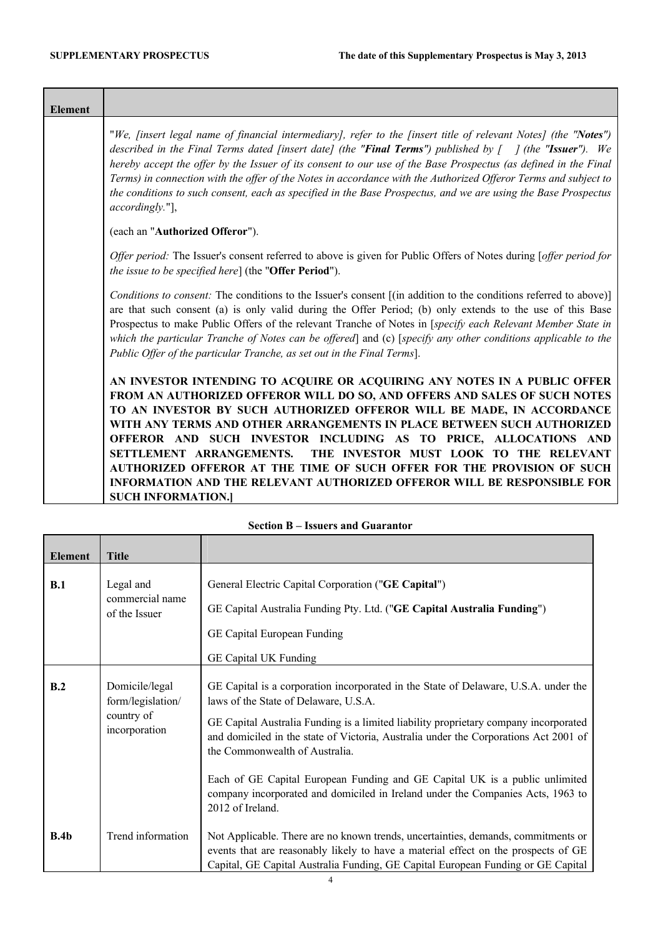<u> 1989 - Jan Barnett, mars et al. 1989 - Anna ann an t-Anna ann an t-Anna ann an t-Anna ann an t-Anna ann an t-A</u>

٦

| <b>Element</b> |                                                                                                                                                                                                                                                                                                                                                                                                                                                                                                                                                                                                                                           |
|----------------|-------------------------------------------------------------------------------------------------------------------------------------------------------------------------------------------------------------------------------------------------------------------------------------------------------------------------------------------------------------------------------------------------------------------------------------------------------------------------------------------------------------------------------------------------------------------------------------------------------------------------------------------|
|                | "We, [insert legal name of financial intermediary], refer to the [insert title of relevant Notes] (the "Notes")<br>described in the Final Terms dated [insert date] (the "Final Terms") published by $\int$ (the "Issuer"). We<br>hereby accept the offer by the Issuer of its consent to our use of the Base Prospectus (as defined in the Final<br>Terms) in connection with the offer of the Notes in accordance with the Authorized Offeror Terms and subject to<br>the conditions to such consent, each as specified in the Base Prospectus, and we are using the Base Prospectus<br>accordingly."],                                 |
|                | (each an "Authorized Offeror").                                                                                                                                                                                                                                                                                                                                                                                                                                                                                                                                                                                                           |
|                | Offer period: The Issuer's consent referred to above is given for Public Offers of Notes during [offer period for<br>the issue to be specified here] (the "Offer Period").                                                                                                                                                                                                                                                                                                                                                                                                                                                                |
|                | Conditions to consent: The conditions to the Issuer's consent [(in addition to the conditions referred to above)]<br>are that such consent (a) is only valid during the Offer Period; (b) only extends to the use of this Base<br>Prospectus to make Public Offers of the relevant Tranche of Notes in [specify each Relevant Member State in<br>which the particular Tranche of Notes can be offered] and (c) [specify any other conditions applicable to the<br>Public Offer of the particular Tranche, as set out in the Final Terms].                                                                                                 |
|                | AN INVESTOR INTENDING TO ACQUIRE OR ACQUIRING ANY NOTES IN A PUBLIC OFFER<br>FROM AN AUTHORIZED OFFEROR WILL DO SO, AND OFFERS AND SALES OF SUCH NOTES<br>TO AN INVESTOR BY SUCH AUTHORIZED OFFEROR WILL BE MADE, IN ACCORDANCE<br>WITH ANY TERMS AND OTHER ARRANGEMENTS IN PLACE BETWEEN SUCH AUTHORIZED<br>OFFEROR AND SUCH INVESTOR INCLUDING AS TO PRICE, ALLOCATIONS AND<br>SETTLEMENT ARRANGEMENTS. THE INVESTOR MUST LOOK TO THE RELEVANT<br>AUTHORIZED OFFEROR AT THE TIME OF SUCH OFFER FOR THE PROVISION OF SUCH<br><b>INFORMATION AND THE RELEVANT AUTHORIZED OFFEROR WILL BE RESPONSIBLE FOR</b><br><b>SUCH INFORMATION.]</b> |

| <b>Element</b> | <b>Title</b>                                                       |                                                                                                                                                                                                                                                                                                                                                                                                                                                                                                                                      |
|----------------|--------------------------------------------------------------------|--------------------------------------------------------------------------------------------------------------------------------------------------------------------------------------------------------------------------------------------------------------------------------------------------------------------------------------------------------------------------------------------------------------------------------------------------------------------------------------------------------------------------------------|
| B.1            | Legal and<br>commercial name<br>of the Issuer                      | General Electric Capital Corporation ("GE Capital")<br>GE Capital Australia Funding Pty. Ltd. ("GE Capital Australia Funding")<br>GE Capital European Funding<br>GE Capital UK Funding                                                                                                                                                                                                                                                                                                                                               |
| B.2            | Domicile/legal<br>form/legislation/<br>country of<br>incorporation | GE Capital is a corporation incorporated in the State of Delaware, U.S.A. under the<br>laws of the State of Delaware, U.S.A.<br>GE Capital Australia Funding is a limited liability proprietary company incorporated<br>and domiciled in the state of Victoria, Australia under the Corporations Act 2001 of<br>the Commonwealth of Australia.<br>Each of GE Capital European Funding and GE Capital UK is a public unlimited<br>company incorporated and domiciled in Ireland under the Companies Acts, 1963 to<br>2012 of Ireland. |
| B.4b           | Trend information                                                  | Not Applicable. There are no known trends, uncertainties, demands, commitments or<br>events that are reasonably likely to have a material effect on the prospects of GE<br>Capital, GE Capital Australia Funding, GE Capital European Funding or GE Capital                                                                                                                                                                                                                                                                          |

## **Section B – Issuers and Guarantor**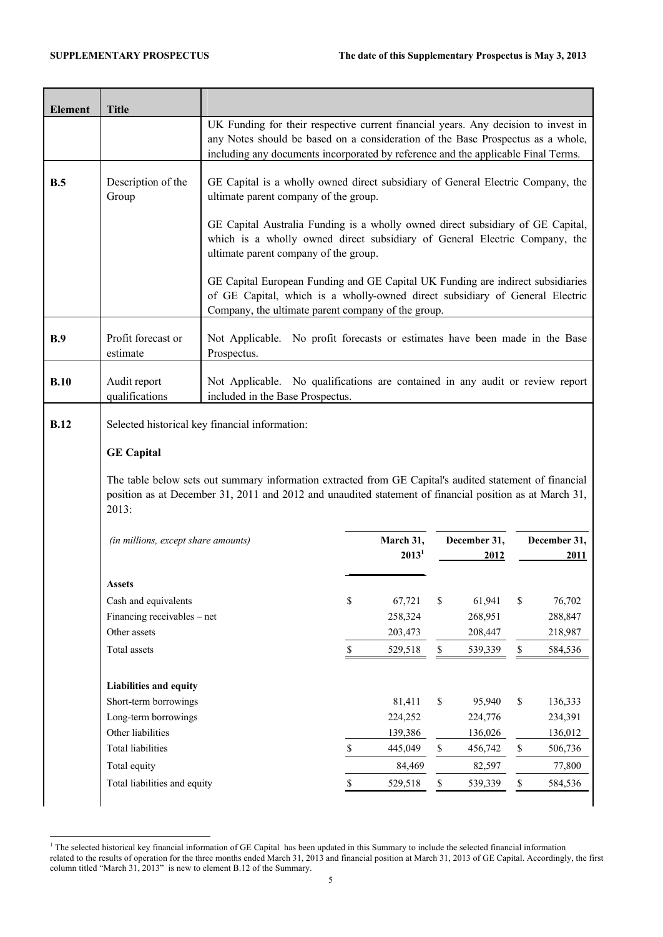| <b>Element</b> | <b>Title</b>                                           |                                                                                                                                                                                                                                                            |              |                       |             |                      |             |                         |
|----------------|--------------------------------------------------------|------------------------------------------------------------------------------------------------------------------------------------------------------------------------------------------------------------------------------------------------------------|--------------|-----------------------|-------------|----------------------|-------------|-------------------------|
|                |                                                        | UK Funding for their respective current financial years. Any decision to invest in<br>any Notes should be based on a consideration of the Base Prospectus as a whole,<br>including any documents incorporated by reference and the applicable Final Terms. |              |                       |             |                      |             |                         |
| B.5            | Description of the<br>Group                            | GE Capital is a wholly owned direct subsidiary of General Electric Company, the<br>ultimate parent company of the group.                                                                                                                                   |              |                       |             |                      |             |                         |
|                |                                                        | GE Capital Australia Funding is a wholly owned direct subsidiary of GE Capital,<br>which is a wholly owned direct subsidiary of General Electric Company, the<br>ultimate parent company of the group.                                                     |              |                       |             |                      |             |                         |
|                |                                                        | GE Capital European Funding and GE Capital UK Funding are indirect subsidiaries<br>of GE Capital, which is a wholly-owned direct subsidiary of General Electric<br>Company, the ultimate parent company of the group.                                      |              |                       |             |                      |             |                         |
| B.9            | Profit forecast or<br>estimate                         | Not Applicable. No profit forecasts or estimates have been made in the Base<br>Prospectus.                                                                                                                                                                 |              |                       |             |                      |             |                         |
| B.10           | Audit report<br>qualifications                         | Not Applicable. No qualifications are contained in any audit or review report<br>included in the Base Prospectus.                                                                                                                                          |              |                       |             |                      |             |                         |
|                |                                                        | Selected historical key financial information:                                                                                                                                                                                                             |              |                       |             |                      |             |                         |
| <b>B.12</b>    |                                                        |                                                                                                                                                                                                                                                            |              |                       |             |                      |             |                         |
|                | <b>GE Capital</b>                                      |                                                                                                                                                                                                                                                            |              |                       |             |                      |             |                         |
|                | 2013:                                                  | The table below sets out summary information extracted from GE Capital's audited statement of financial<br>position as at December 31, 2011 and 2012 and unaudited statement of financial position as at March 31,                                         |              |                       |             |                      |             |                         |
|                | (in millions, except share amounts)                    |                                                                                                                                                                                                                                                            |              | March 31,<br>$2013^1$ |             | December 31,<br>2012 |             |                         |
|                | <b>Assets</b>                                          |                                                                                                                                                                                                                                                            |              |                       |             |                      |             | 2011                    |
|                | Cash and equivalents                                   |                                                                                                                                                                                                                                                            | $\mathbb S$  | 67,721                | \$          | 61,941               | \$          | 76,702                  |
|                | Financing receivables – net                            |                                                                                                                                                                                                                                                            |              | 258,324               |             | 268,951              |             | 288,847                 |
|                | Other assets                                           |                                                                                                                                                                                                                                                            |              | 203,473               |             | 208,447              |             | December 31,<br>218,987 |
|                | Total assets                                           |                                                                                                                                                                                                                                                            | \$           | 529,518               | \$          | 539,339              | \$          | 584,536                 |
|                |                                                        |                                                                                                                                                                                                                                                            |              |                       |             |                      |             |                         |
|                | <b>Liabilities and equity</b><br>Short-term borrowings |                                                                                                                                                                                                                                                            |              | 81,411                | $\mathbb S$ | 95,940               | \$          | 136,333                 |
|                | Long-term borrowings                                   |                                                                                                                                                                                                                                                            |              | 224,252               |             | 224,776              |             | 234,391                 |
|                | Other liabilities                                      |                                                                                                                                                                                                                                                            |              | 139,386               |             | 136,026              |             | 136,012                 |
|                | <b>Total liabilities</b>                               |                                                                                                                                                                                                                                                            | $\mathbb{S}$ | 445,049               | $\mathbb S$ | 456,742              | $\mathbb S$ | 506,736                 |
|                | Total equity                                           |                                                                                                                                                                                                                                                            |              | 84,469                |             | 82,597               |             | 77,800                  |

<sup>&</sup>lt;sup>1</sup> The selected historical key financial information of GE Capital has been updated in this Summary to include the selected financial information related to the results of operation for the three months ended March 31, 2013 and financial position at March 31, 2013 of GE Capital. Accordingly, the first column titled "March 31, 2013" is new to element B.12 of the Summary.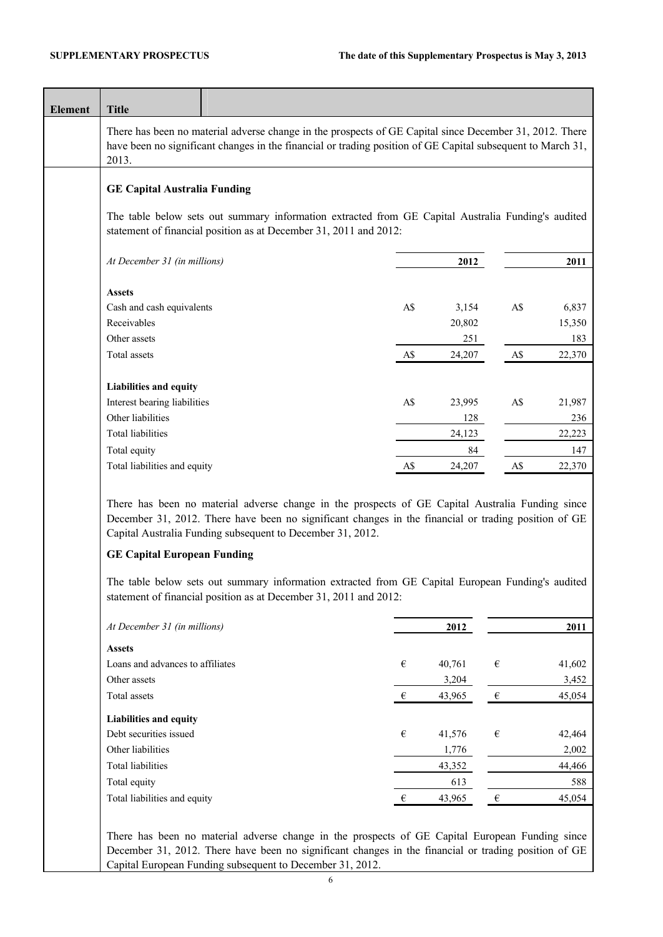| <b>Element</b> | <b>Title</b>                                                                                                                                                                                                                    |  |     |        |                         |        |
|----------------|---------------------------------------------------------------------------------------------------------------------------------------------------------------------------------------------------------------------------------|--|-----|--------|-------------------------|--------|
|                | There has been no material adverse change in the prospects of GE Capital since December 31, 2012. There<br>have been no significant changes in the financial or trading position of GE Capital subsequent to March 31,<br>2013. |  |     |        |                         |        |
|                | <b>GE Capital Australia Funding</b>                                                                                                                                                                                             |  |     |        |                         |        |
|                | The table below sets out summary information extracted from GE Capital Australia Funding's audited<br>statement of financial position as at December 31, 2011 and 2012:                                                         |  |     |        |                         |        |
|                | At December 31 (in millions)                                                                                                                                                                                                    |  |     | 2012   |                         | 2011   |
|                |                                                                                                                                                                                                                                 |  |     |        |                         |        |
|                | <b>Assets</b>                                                                                                                                                                                                                   |  |     |        |                         |        |
|                | Cash and cash equivalents                                                                                                                                                                                                       |  | A\$ | 3,154  | A\$                     | 6,837  |
|                | Receivables                                                                                                                                                                                                                     |  |     | 20,802 |                         | 15,350 |
|                | Other assets                                                                                                                                                                                                                    |  |     | 251    |                         | 183    |
|                | Total assets                                                                                                                                                                                                                    |  | A\$ | 24,207 | A\$                     | 22,370 |
|                | Liabilities and equity                                                                                                                                                                                                          |  |     |        |                         |        |
|                | Interest bearing liabilities                                                                                                                                                                                                    |  | A\$ | 23,995 | A\$                     | 21,987 |
|                | Other liabilities                                                                                                                                                                                                               |  |     | 128    |                         | 236    |
|                | <b>Total liabilities</b>                                                                                                                                                                                                        |  |     | 24,123 |                         | 22,223 |
|                | Total equity                                                                                                                                                                                                                    |  |     | 84     |                         | 147    |
|                | Total liabilities and equity                                                                                                                                                                                                    |  | A\$ | 24,207 | A\$                     | 22,370 |
|                | December 31, 2012. There have been no significant changes in the financial or trading position of GE<br>Capital Australia Funding subsequent to December 31, 2012.<br><b>GE Capital European Funding</b>                        |  |     |        |                         |        |
|                | The table below sets out summary information extracted from GE Capital European Funding's audited<br>statement of financial position as at December 31, 2011 and 2012:                                                          |  |     |        |                         |        |
|                | At December 31 (in millions)                                                                                                                                                                                                    |  |     | 2012   |                         | 2011   |
|                | <b>Assets</b>                                                                                                                                                                                                                   |  |     |        |                         |        |
|                | Loans and advances to affiliates                                                                                                                                                                                                |  | €   | 40,761 | $\boldsymbol{\epsilon}$ | 41,602 |
|                | Other assets                                                                                                                                                                                                                    |  |     | 3,204  |                         | 3,452  |
|                | Total assets                                                                                                                                                                                                                    |  | €   | 43,965 | $\boldsymbol{\epsilon}$ | 45,054 |
|                | Liabilities and equity                                                                                                                                                                                                          |  |     |        |                         |        |
|                | Debt securities issued                                                                                                                                                                                                          |  | €   | 41,576 | $\boldsymbol{\epsilon}$ | 42,464 |
|                | Other liabilities                                                                                                                                                                                                               |  |     | 1,776  |                         | 2,002  |
|                | <b>Total liabilities</b>                                                                                                                                                                                                        |  |     | 43,352 |                         | 44,466 |
|                | Total equity                                                                                                                                                                                                                    |  |     | 613    |                         | 588    |
|                | Total liabilities and equity                                                                                                                                                                                                    |  | €   | 43,965 | $\in$                   | 45,054 |
|                |                                                                                                                                                                                                                                 |  |     |        |                         |        |
|                |                                                                                                                                                                                                                                 |  |     |        |                         |        |
|                | There has been no material adverse change in the prospects of GE Capital European Funding since                                                                                                                                 |  |     |        |                         |        |
|                | December 31, 2012. There have been no significant changes in the financial or trading position of GE                                                                                                                            |  |     |        |                         |        |
|                | Capital European Funding subsequent to December 31, 2012.                                                                                                                                                                       |  |     |        |                         |        |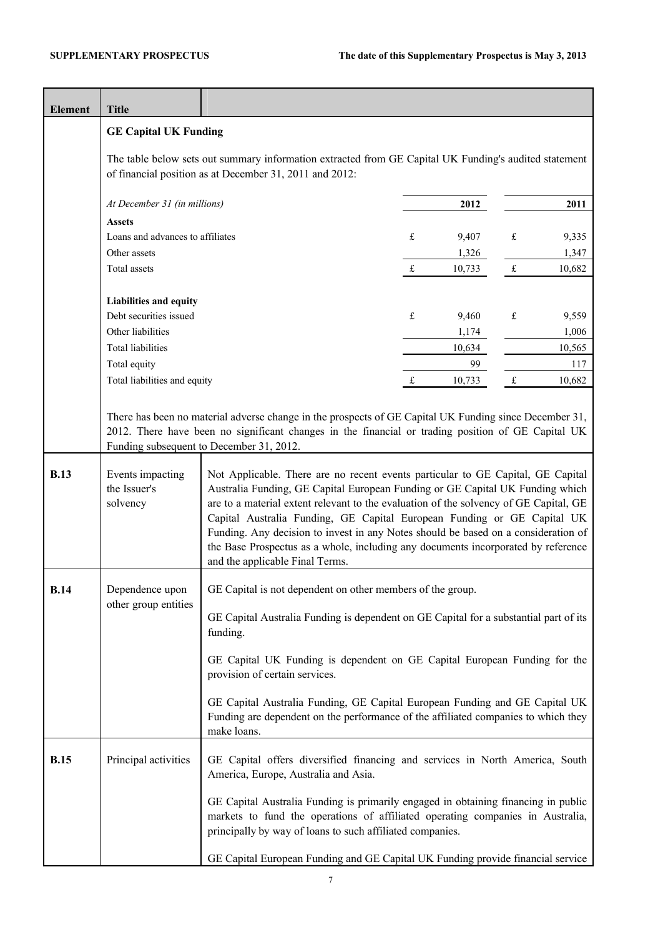| <b>Element</b> | <b>Title</b>                                                                                                                                                     |                                                                                                                                                                                                                                                                                                                                                                                                                              |             |        |           |        |
|----------------|------------------------------------------------------------------------------------------------------------------------------------------------------------------|------------------------------------------------------------------------------------------------------------------------------------------------------------------------------------------------------------------------------------------------------------------------------------------------------------------------------------------------------------------------------------------------------------------------------|-------------|--------|-----------|--------|
|                | <b>GE Capital UK Funding</b>                                                                                                                                     |                                                                                                                                                                                                                                                                                                                                                                                                                              |             |        |           |        |
|                | The table below sets out summary information extracted from GE Capital UK Funding's audited statement<br>of financial position as at December 31, 2011 and 2012: |                                                                                                                                                                                                                                                                                                                                                                                                                              |             |        |           |        |
|                | At December 31 (in millions)                                                                                                                                     |                                                                                                                                                                                                                                                                                                                                                                                                                              |             | 2012   |           | 2011   |
|                | <b>Assets</b>                                                                                                                                                    |                                                                                                                                                                                                                                                                                                                                                                                                                              |             |        |           |        |
|                | Loans and advances to affiliates                                                                                                                                 |                                                                                                                                                                                                                                                                                                                                                                                                                              | £           | 9,407  | £         | 9,335  |
|                | Other assets                                                                                                                                                     |                                                                                                                                                                                                                                                                                                                                                                                                                              |             | 1,326  |           | 1,347  |
|                | Total assets                                                                                                                                                     |                                                                                                                                                                                                                                                                                                                                                                                                                              | $\mathbf f$ | 10,733 | £         | 10,682 |
|                | Liabilities and equity                                                                                                                                           |                                                                                                                                                                                                                                                                                                                                                                                                                              |             |        |           |        |
|                | Debt securities issued                                                                                                                                           |                                                                                                                                                                                                                                                                                                                                                                                                                              | £           | 9,460  | $\pounds$ | 9,559  |
|                | Other liabilities                                                                                                                                                |                                                                                                                                                                                                                                                                                                                                                                                                                              |             | 1,174  |           | 1,006  |
|                | <b>Total liabilities</b>                                                                                                                                         |                                                                                                                                                                                                                                                                                                                                                                                                                              |             | 10,634 |           | 10,565 |
|                | Total equity                                                                                                                                                     |                                                                                                                                                                                                                                                                                                                                                                                                                              |             | 99     |           | 117    |
|                | Total liabilities and equity                                                                                                                                     |                                                                                                                                                                                                                                                                                                                                                                                                                              | £           | 10,733 | $\pounds$ | 10,682 |
| <b>B.13</b>    | Events impacting<br>the Issuer's                                                                                                                                 | There has been no material adverse change in the prospects of GE Capital UK Funding since December 31,<br>2012. There have been no significant changes in the financial or trading position of GE Capital UK<br>Funding subsequent to December 31, 2012.<br>Not Applicable. There are no recent events particular to GE Capital, GE Capital<br>Australia Funding, GE Capital European Funding or GE Capital UK Funding which |             |        |           |        |
|                | solvency                                                                                                                                                         | are to a material extent relevant to the evaluation of the solvency of GE Capital, GE<br>Capital Australia Funding, GE Capital European Funding or GE Capital UK<br>Funding. Any decision to invest in any Notes should be based on a consideration of<br>the Base Prospectus as a whole, including any documents incorporated by reference<br>and the applicable Final Terms.                                               |             |        |           |        |
| <b>B.14</b>    | Dependence upon<br>other group entities                                                                                                                          | GE Capital is not dependent on other members of the group.                                                                                                                                                                                                                                                                                                                                                                   |             |        |           |        |
|                |                                                                                                                                                                  | GE Capital Australia Funding is dependent on GE Capital for a substantial part of its<br>funding.                                                                                                                                                                                                                                                                                                                            |             |        |           |        |
|                |                                                                                                                                                                  | GE Capital UK Funding is dependent on GE Capital European Funding for the<br>provision of certain services.                                                                                                                                                                                                                                                                                                                  |             |        |           |        |
|                |                                                                                                                                                                  | GE Capital Australia Funding, GE Capital European Funding and GE Capital UK<br>Funding are dependent on the performance of the affiliated companies to which they<br>make loans.                                                                                                                                                                                                                                             |             |        |           |        |
| <b>B.15</b>    | Principal activities                                                                                                                                             | GE Capital offers diversified financing and services in North America, South<br>America, Europe, Australia and Asia.                                                                                                                                                                                                                                                                                                         |             |        |           |        |
|                |                                                                                                                                                                  | GE Capital Australia Funding is primarily engaged in obtaining financing in public<br>markets to fund the operations of affiliated operating companies in Australia,<br>principally by way of loans to such affiliated companies.                                                                                                                                                                                            |             |        |           |        |
|                |                                                                                                                                                                  | GE Capital European Funding and GE Capital UK Funding provide financial service                                                                                                                                                                                                                                                                                                                                              |             |        |           |        |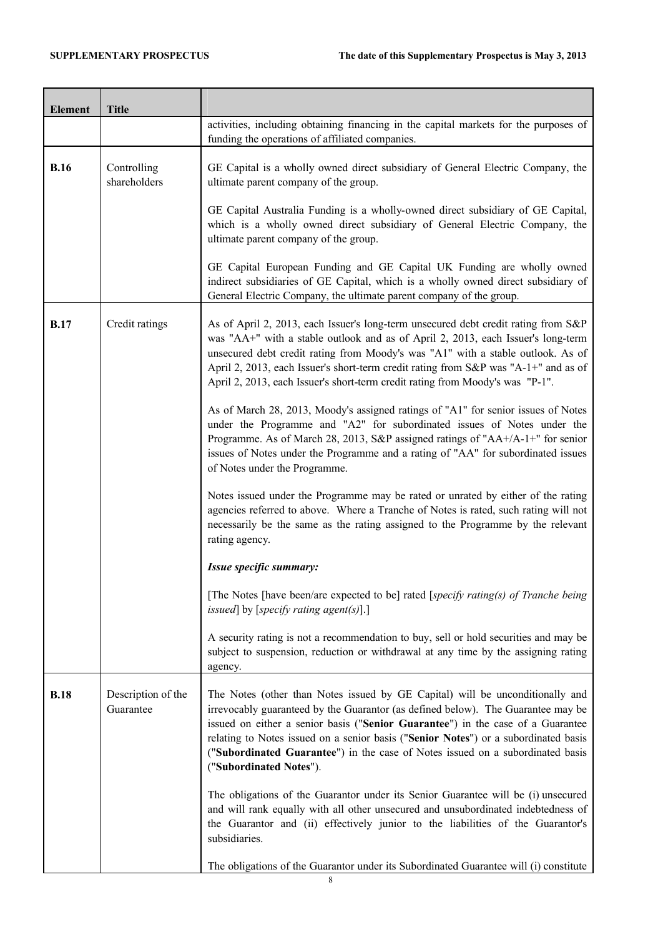| <b>Element</b> | <b>Title</b>                    |                                                                                                                                                                                                                                                                                                                                                                                                                                                          |
|----------------|---------------------------------|----------------------------------------------------------------------------------------------------------------------------------------------------------------------------------------------------------------------------------------------------------------------------------------------------------------------------------------------------------------------------------------------------------------------------------------------------------|
|                |                                 | activities, including obtaining financing in the capital markets for the purposes of<br>funding the operations of affiliated companies.                                                                                                                                                                                                                                                                                                                  |
| <b>B.16</b>    | Controlling<br>shareholders     | GE Capital is a wholly owned direct subsidiary of General Electric Company, the<br>ultimate parent company of the group.                                                                                                                                                                                                                                                                                                                                 |
|                |                                 | GE Capital Australia Funding is a wholly-owned direct subsidiary of GE Capital,<br>which is a wholly owned direct subsidiary of General Electric Company, the<br>ultimate parent company of the group.                                                                                                                                                                                                                                                   |
|                |                                 | GE Capital European Funding and GE Capital UK Funding are wholly owned<br>indirect subsidiaries of GE Capital, which is a wholly owned direct subsidiary of<br>General Electric Company, the ultimate parent company of the group.                                                                                                                                                                                                                       |
| <b>B.17</b>    | Credit ratings                  | As of April 2, 2013, each Issuer's long-term unsecured debt credit rating from S&P<br>was "AA+" with a stable outlook and as of April 2, 2013, each Issuer's long-term<br>unsecured debt credit rating from Moody's was "A1" with a stable outlook. As of<br>April 2, 2013, each Issuer's short-term credit rating from S&P was "A-1+" and as of<br>April 2, 2013, each Issuer's short-term credit rating from Moody's was "P-1".                        |
|                |                                 | As of March 28, 2013, Moody's assigned ratings of "A1" for senior issues of Notes<br>under the Programme and "A2" for subordinated issues of Notes under the<br>Programme. As of March 28, 2013, S&P assigned ratings of "AA+/A-1+" for senior<br>issues of Notes under the Programme and a rating of "AA" for subordinated issues<br>of Notes under the Programme.                                                                                      |
|                |                                 | Notes issued under the Programme may be rated or unrated by either of the rating<br>agencies referred to above. Where a Tranche of Notes is rated, such rating will not<br>necessarily be the same as the rating assigned to the Programme by the relevant<br>rating agency.                                                                                                                                                                             |
|                |                                 | Issue specific summary:                                                                                                                                                                                                                                                                                                                                                                                                                                  |
|                |                                 | [The Notes [have been/are expected to be] rated [specify rating(s) of Tranche being<br>issued] by [specify rating agent(s)].]                                                                                                                                                                                                                                                                                                                            |
|                |                                 | A security rating is not a recommendation to buy, sell or hold securities and may be<br>subject to suspension, reduction or withdrawal at any time by the assigning rating<br>agency.                                                                                                                                                                                                                                                                    |
| <b>B.18</b>    | Description of the<br>Guarantee | The Notes (other than Notes issued by GE Capital) will be unconditionally and<br>irrevocably guaranteed by the Guarantor (as defined below). The Guarantee may be<br>issued on either a senior basis ("Senior Guarantee") in the case of a Guarantee<br>relating to Notes issued on a senior basis ("Senior Notes") or a subordinated basis<br>("Subordinated Guarantee") in the case of Notes issued on a subordinated basis<br>("Subordinated Notes"). |
|                |                                 | The obligations of the Guarantor under its Senior Guarantee will be (i) unsecured<br>and will rank equally with all other unsecured and unsubordinated indebtedness of<br>the Guarantor and (ii) effectively junior to the liabilities of the Guarantor's<br>subsidiaries.                                                                                                                                                                               |
|                |                                 | The obligations of the Guarantor under its Subordinated Guarantee will (i) constitute                                                                                                                                                                                                                                                                                                                                                                    |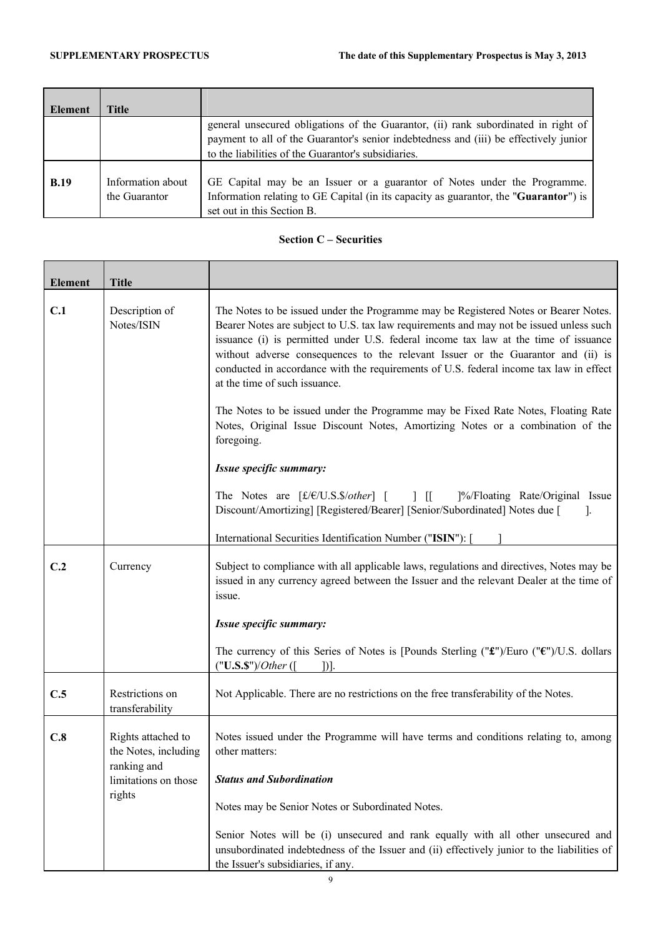÷

| <b>Element</b> | Title             |                                                                                       |
|----------------|-------------------|---------------------------------------------------------------------------------------|
|                |                   | general unsecured obligations of the Guarantor, (ii) rank subordinated in right of    |
|                |                   | payment to all of the Guarantor's senior indebtedness and (iii) be effectively junior |
|                |                   | to the liabilities of the Guarantor's subsidiaries.                                   |
|                |                   |                                                                                       |
| <b>B.19</b>    | Information about | GE Capital may be an Issuer or a guarantor of Notes under the Programme.              |
|                | the Guarantor     | Information relating to GE Capital (in its capacity as guarantor, the "Guarantor") is |
|                |                   | set out in this Section B.                                                            |

## **Section C – Securities**

| <b>Element</b>  | <b>Title</b>                                              |                                                                                                                                                                                                                                                                                                                                                                                                                                                                                                |
|-----------------|-----------------------------------------------------------|------------------------------------------------------------------------------------------------------------------------------------------------------------------------------------------------------------------------------------------------------------------------------------------------------------------------------------------------------------------------------------------------------------------------------------------------------------------------------------------------|
| C.1             | Description of<br>Notes/ISIN                              | The Notes to be issued under the Programme may be Registered Notes or Bearer Notes.<br>Bearer Notes are subject to U.S. tax law requirements and may not be issued unless such<br>issuance (i) is permitted under U.S. federal income tax law at the time of issuance<br>without adverse consequences to the relevant Issuer or the Guarantor and (ii) is<br>conducted in accordance with the requirements of U.S. federal income tax law in effect<br>at the time of such issuance.           |
|                 |                                                           | The Notes to be issued under the Programme may be Fixed Rate Notes, Floating Rate<br>Notes, Original Issue Discount Notes, Amortizing Notes or a combination of the<br>foregoing.                                                                                                                                                                                                                                                                                                              |
|                 |                                                           | Issue specific summary:                                                                                                                                                                                                                                                                                                                                                                                                                                                                        |
|                 |                                                           | The Notes are $\lceil \frac{f(\mathcal{E}/U.S.S/other)}{I} \rceil$   $\lceil \frac{9}{\sqrt{2}} \rceil$   $\lceil \frac{1}{\sqrt{2}} \rceil$   $\lceil \frac{1}{\sqrt{2}} \rceil$   $\lceil \frac{1}{\sqrt{2}} \rceil$   $\lceil \frac{1}{\sqrt{2}} \rceil$   $\lceil \frac{1}{\sqrt{2}} \rceil$   $\lceil \frac{1}{\sqrt{2}} \rceil$   $\lceil \frac{1}{\sqrt{2}} \rceil$   $\lceil \frac{1}{$<br>Discount/Amortizing] [Registered/Bearer] [Senior/Subordinated] Notes due [<br>$\mathcal{L}$ |
|                 |                                                           | International Securities Identification Number ("ISIN"): [                                                                                                                                                                                                                                                                                                                                                                                                                                     |
| C.2<br>Currency |                                                           | Subject to compliance with all applicable laws, regulations and directives, Notes may be<br>issued in any currency agreed between the Issuer and the relevant Dealer at the time of<br>issue.                                                                                                                                                                                                                                                                                                  |
|                 |                                                           | Issue specific summary:                                                                                                                                                                                                                                                                                                                                                                                                                                                                        |
|                 |                                                           | The currency of this Series of Notes is [Pounds Sterling (" $\mathbf{f}$ ")/Euro (" $\mathbf{f}$ ")/U.S. dollars<br>("U.S.S")/Other (<br>$]$ )].                                                                                                                                                                                                                                                                                                                                               |
| C.5             | Restrictions on<br>transferability                        | Not Applicable. There are no restrictions on the free transferability of the Notes.                                                                                                                                                                                                                                                                                                                                                                                                            |
| C.8             | Rights attached to<br>the Notes, including<br>ranking and | Notes issued under the Programme will have terms and conditions relating to, among<br>other matters:                                                                                                                                                                                                                                                                                                                                                                                           |
|                 | limitations on those<br>rights                            | <b>Status and Subordination</b>                                                                                                                                                                                                                                                                                                                                                                                                                                                                |
|                 |                                                           | Notes may be Senior Notes or Subordinated Notes.                                                                                                                                                                                                                                                                                                                                                                                                                                               |
|                 |                                                           | Senior Notes will be (i) unsecured and rank equally with all other unsecured and<br>unsubordinated indebtedness of the Issuer and (ii) effectively junior to the liabilities of<br>the Issuer's subsidiaries, if any.                                                                                                                                                                                                                                                                          |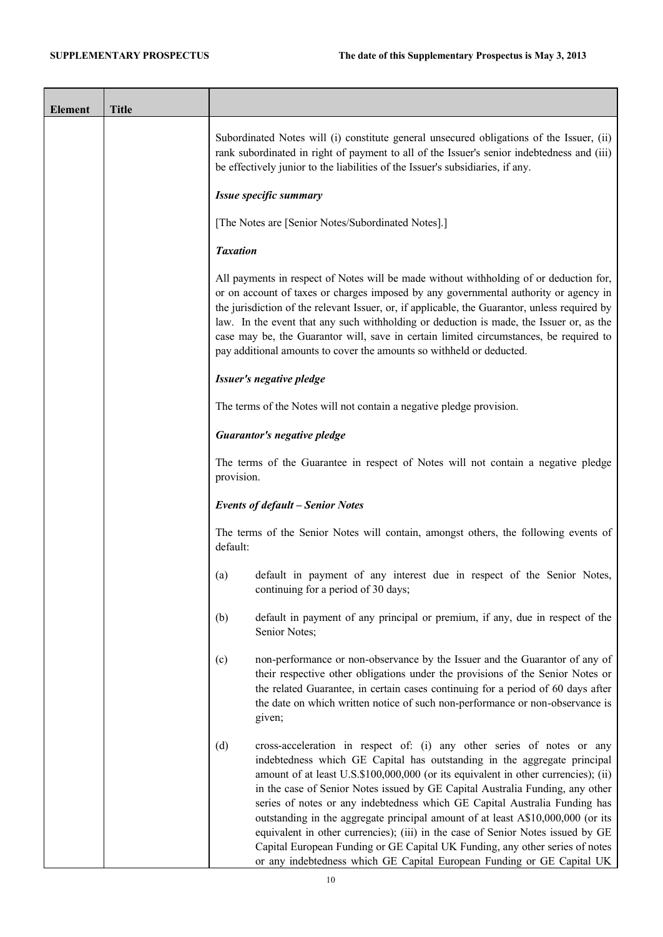$\overline{\phantom{0}}$ 

| <b>Element</b> | <b>Title</b> |                                                                                                                                                                                                                                                                                                                                                                                                                                                                                                                                                                                                                                                                                                                                                |
|----------------|--------------|------------------------------------------------------------------------------------------------------------------------------------------------------------------------------------------------------------------------------------------------------------------------------------------------------------------------------------------------------------------------------------------------------------------------------------------------------------------------------------------------------------------------------------------------------------------------------------------------------------------------------------------------------------------------------------------------------------------------------------------------|
|                |              | Subordinated Notes will (i) constitute general unsecured obligations of the Issuer, (ii)<br>rank subordinated in right of payment to all of the Issuer's senior indebtedness and (iii)<br>be effectively junior to the liabilities of the Issuer's subsidiaries, if any.                                                                                                                                                                                                                                                                                                                                                                                                                                                                       |
|                |              | Issue specific summary                                                                                                                                                                                                                                                                                                                                                                                                                                                                                                                                                                                                                                                                                                                         |
|                |              | [The Notes are [Senior Notes/Subordinated Notes].]                                                                                                                                                                                                                                                                                                                                                                                                                                                                                                                                                                                                                                                                                             |
|                |              | <b>Taxation</b>                                                                                                                                                                                                                                                                                                                                                                                                                                                                                                                                                                                                                                                                                                                                |
|                |              | All payments in respect of Notes will be made without withholding of or deduction for,<br>or on account of taxes or charges imposed by any governmental authority or agency in<br>the jurisdiction of the relevant Issuer, or, if applicable, the Guarantor, unless required by<br>law. In the event that any such withholding or deduction is made, the Issuer or, as the<br>case may be, the Guarantor will, save in certain limited circumstances, be required to<br>pay additional amounts to cover the amounts so withheld or deducted.                                                                                                                                                                                                   |
|                |              | Issuer's negative pledge                                                                                                                                                                                                                                                                                                                                                                                                                                                                                                                                                                                                                                                                                                                       |
|                |              | The terms of the Notes will not contain a negative pledge provision.                                                                                                                                                                                                                                                                                                                                                                                                                                                                                                                                                                                                                                                                           |
|                |              | <b>Guarantor's negative pledge</b>                                                                                                                                                                                                                                                                                                                                                                                                                                                                                                                                                                                                                                                                                                             |
|                |              | The terms of the Guarantee in respect of Notes will not contain a negative pledge<br>provision.                                                                                                                                                                                                                                                                                                                                                                                                                                                                                                                                                                                                                                                |
|                |              | <b>Events of default - Senior Notes</b>                                                                                                                                                                                                                                                                                                                                                                                                                                                                                                                                                                                                                                                                                                        |
|                |              | The terms of the Senior Notes will contain, amongst others, the following events of<br>default:                                                                                                                                                                                                                                                                                                                                                                                                                                                                                                                                                                                                                                                |
|                |              | default in payment of any interest due in respect of the Senior Notes,<br>(a)<br>continuing for a period of 30 days;                                                                                                                                                                                                                                                                                                                                                                                                                                                                                                                                                                                                                           |
|                |              | default in payment of any principal or premium, if any, due in respect of the<br>(b)<br>Senior Notes;                                                                                                                                                                                                                                                                                                                                                                                                                                                                                                                                                                                                                                          |
|                |              | (c)<br>non-performance or non-observance by the Issuer and the Guarantor of any of<br>their respective other obligations under the provisions of the Senior Notes or<br>the related Guarantee, in certain cases continuing for a period of 60 days after<br>the date on which written notice of such non-performance or non-observance is<br>given;                                                                                                                                                                                                                                                                                                                                                                                            |
|                |              | (d)<br>cross-acceleration in respect of: (i) any other series of notes or any<br>indebtedness which GE Capital has outstanding in the aggregate principal<br>amount of at least U.S.\$100,000,000 (or its equivalent in other currencies); (ii)<br>in the case of Senior Notes issued by GE Capital Australia Funding, any other<br>series of notes or any indebtedness which GE Capital Australia Funding has<br>outstanding in the aggregate principal amount of at least A\$10,000,000 (or its<br>equivalent in other currencies); (iii) in the case of Senior Notes issued by GE<br>Capital European Funding or GE Capital UK Funding, any other series of notes<br>or any indebtedness which GE Capital European Funding or GE Capital UK |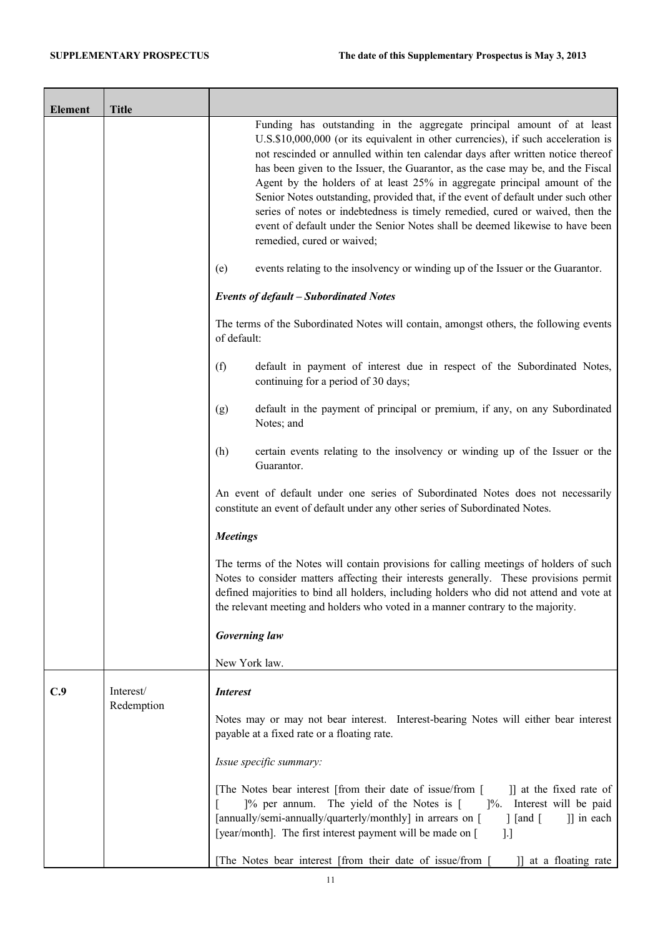÷

| <b>Element</b> | <b>Title</b>            |                                                                                                                                                                                                                                                                                                                                                                                                                                                                                                                                                                                                                                                                                                    |
|----------------|-------------------------|----------------------------------------------------------------------------------------------------------------------------------------------------------------------------------------------------------------------------------------------------------------------------------------------------------------------------------------------------------------------------------------------------------------------------------------------------------------------------------------------------------------------------------------------------------------------------------------------------------------------------------------------------------------------------------------------------|
|                |                         | Funding has outstanding in the aggregate principal amount of at least<br>U.S.\$10,000,000 (or its equivalent in other currencies), if such acceleration is<br>not rescinded or annulled within ten calendar days after written notice thereof<br>has been given to the Issuer, the Guarantor, as the case may be, and the Fiscal<br>Agent by the holders of at least 25% in aggregate principal amount of the<br>Senior Notes outstanding, provided that, if the event of default under such other<br>series of notes or indebtedness is timely remedied, cured or waived, then the<br>event of default under the Senior Notes shall be deemed likewise to have been<br>remedied, cured or waived; |
|                |                         | events relating to the insolvency or winding up of the Issuer or the Guarantor.<br>(e)                                                                                                                                                                                                                                                                                                                                                                                                                                                                                                                                                                                                             |
|                |                         | <b>Events of default - Subordinated Notes</b>                                                                                                                                                                                                                                                                                                                                                                                                                                                                                                                                                                                                                                                      |
|                |                         | The terms of the Subordinated Notes will contain, amongst others, the following events<br>of default:                                                                                                                                                                                                                                                                                                                                                                                                                                                                                                                                                                                              |
|                |                         | default in payment of interest due in respect of the Subordinated Notes,<br>(f)<br>continuing for a period of 30 days;                                                                                                                                                                                                                                                                                                                                                                                                                                                                                                                                                                             |
|                |                         | default in the payment of principal or premium, if any, on any Subordinated<br>(g)<br>Notes; and                                                                                                                                                                                                                                                                                                                                                                                                                                                                                                                                                                                                   |
|                |                         | certain events relating to the insolvency or winding up of the Issuer or the<br>(h)<br>Guarantor.                                                                                                                                                                                                                                                                                                                                                                                                                                                                                                                                                                                                  |
|                |                         | An event of default under one series of Subordinated Notes does not necessarily<br>constitute an event of default under any other series of Subordinated Notes.                                                                                                                                                                                                                                                                                                                                                                                                                                                                                                                                    |
|                |                         | <b>Meetings</b>                                                                                                                                                                                                                                                                                                                                                                                                                                                                                                                                                                                                                                                                                    |
|                |                         | The terms of the Notes will contain provisions for calling meetings of holders of such<br>Notes to consider matters affecting their interests generally. These provisions permit<br>defined majorities to bind all holders, including holders who did not attend and vote at<br>the relevant meeting and holders who voted in a manner contrary to the majority.                                                                                                                                                                                                                                                                                                                                   |
|                |                         | <b>Governing law</b>                                                                                                                                                                                                                                                                                                                                                                                                                                                                                                                                                                                                                                                                               |
|                |                         | New York law.                                                                                                                                                                                                                                                                                                                                                                                                                                                                                                                                                                                                                                                                                      |
| C.9            | Interest/<br>Redemption | <b>Interest</b>                                                                                                                                                                                                                                                                                                                                                                                                                                                                                                                                                                                                                                                                                    |
|                |                         | Notes may or may not bear interest. Interest-bearing Notes will either bear interest<br>payable at a fixed rate or a floating rate.                                                                                                                                                                                                                                                                                                                                                                                                                                                                                                                                                                |
|                |                         | Issue specific summary:                                                                                                                                                                                                                                                                                                                                                                                                                                                                                                                                                                                                                                                                            |
|                |                         | [The Notes bear interest [from their date of issue/from [<br>]] at the fixed rate of<br>[% per annum. The yield of the Notes is [<br>1%. Interest will be paid<br>[annually/semi-annually/quarterly/monthly] in arrears on [<br>]] in each<br>$\lceil$ [and $\lceil$<br>[year/month]. The first interest payment will be made on [<br>].]                                                                                                                                                                                                                                                                                                                                                          |
|                |                         | The Notes bear interest [from their date of issue/from<br>at a floating rate                                                                                                                                                                                                                                                                                                                                                                                                                                                                                                                                                                                                                       |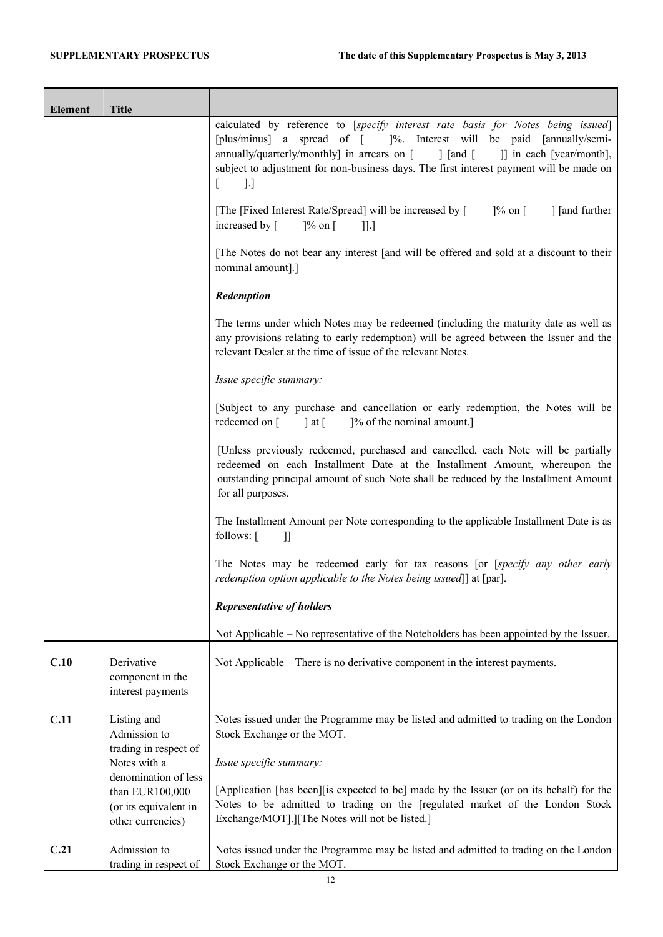| <b>Element</b> | <b>Title</b>                                                                                          |                                                                                                                                                                                                                                                                                                                                                               |
|----------------|-------------------------------------------------------------------------------------------------------|---------------------------------------------------------------------------------------------------------------------------------------------------------------------------------------------------------------------------------------------------------------------------------------------------------------------------------------------------------------|
|                |                                                                                                       | calculated by reference to [specify interest rate basis for Notes being issued]<br>[plus/minus] a spread of [ ]%. Interest will be paid [annually/semi-<br>annually/quarterly/monthly] in arrears on [ ] [and [<br>]] in each [year/month],<br>subject to adjustment for non-business days. The first interest payment will be made on<br>$\lbrack . \rbrack$ |
|                |                                                                                                       | [The [Fixed Interest Rate/Spread] will be increased by [<br>$\frac{1}{6}$ on $\lceil$<br>] [and further<br>increased by [<br>$\frac{1}{6}$ on $\left[$<br>$\prod$                                                                                                                                                                                             |
|                |                                                                                                       | The Notes do not bear any interest [and will be offered and sold at a discount to their<br>nominal amount].]                                                                                                                                                                                                                                                  |
|                |                                                                                                       | Redemption                                                                                                                                                                                                                                                                                                                                                    |
|                |                                                                                                       | The terms under which Notes may be redeemed (including the maturity date as well as<br>any provisions relating to early redemption) will be agreed between the Issuer and the<br>relevant Dealer at the time of issue of the relevant Notes.                                                                                                                  |
|                |                                                                                                       | Issue specific summary:                                                                                                                                                                                                                                                                                                                                       |
|                |                                                                                                       | [Subject to any purchase and cancellation or early redemption, the Notes will be<br>redeemed on $\lceil \cdot \cdot \rceil$ at $\lceil \cdot \cdot \rceil$<br>]% of the nominal amount.]                                                                                                                                                                      |
|                |                                                                                                       | [Unless previously redeemed, purchased and cancelled, each Note will be partially<br>redeemed on each Installment Date at the Installment Amount, whereupon the<br>outstanding principal amount of such Note shall be reduced by the Installment Amount<br>for all purposes.                                                                                  |
|                |                                                                                                       | The Installment Amount per Note corresponding to the applicable Installment Date is as<br>follows: [<br>$\mathbf l$                                                                                                                                                                                                                                           |
|                |                                                                                                       | The Notes may be redeemed early for tax reasons [or [specify any other early<br>redemption option applicable to the Notes being issued]] at [par].                                                                                                                                                                                                            |
|                |                                                                                                       | <b>Representative of holders</b>                                                                                                                                                                                                                                                                                                                              |
|                |                                                                                                       | Not Applicable – No representative of the Noteholders has been appointed by the Issuer.                                                                                                                                                                                                                                                                       |
| C.10           | Derivative<br>component in the<br>interest payments                                                   | Not Applicable – There is no derivative component in the interest payments.                                                                                                                                                                                                                                                                                   |
| C.11           | Listing and<br>Admission to<br>trading in respect of                                                  | Notes issued under the Programme may be listed and admitted to trading on the London<br>Stock Exchange or the MOT.                                                                                                                                                                                                                                            |
|                | Notes with a<br>denomination of less<br>than EUR100,000<br>(or its equivalent in<br>other currencies) | Issue specific summary:<br>[Application [has been][is expected to be] made by the Issuer (or on its behalf) for the<br>Notes to be admitted to trading on the [regulated market of the London Stock<br>Exchange/MOT].][The Notes will not be listed.]                                                                                                         |
| C.21           | Admission to<br>trading in respect of                                                                 | Notes issued under the Programme may be listed and admitted to trading on the London<br>Stock Exchange or the MOT.                                                                                                                                                                                                                                            |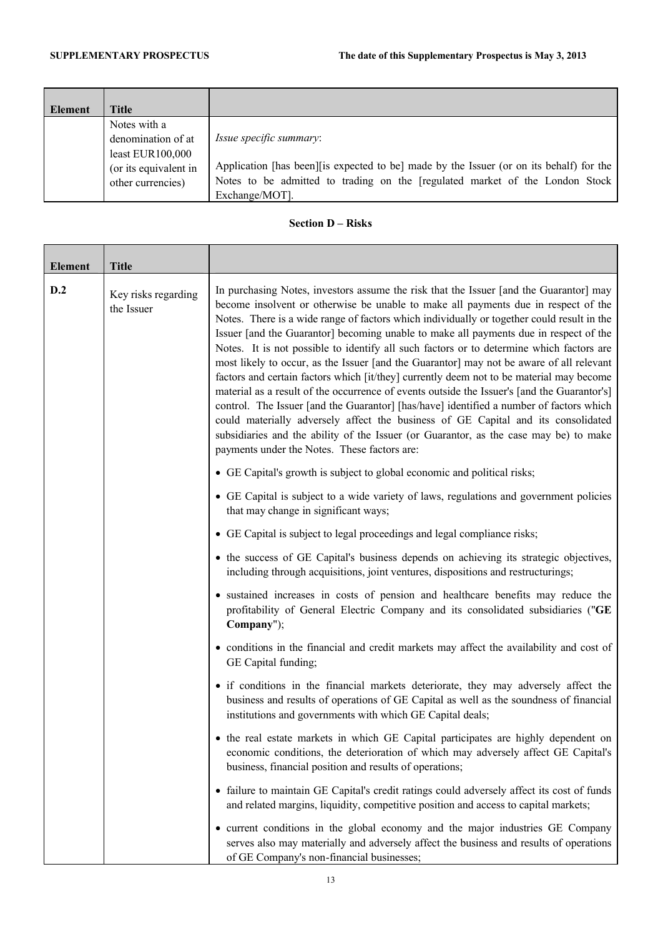÷

| <b>Element</b> | Title                                                                                                  |                                                                                                                                                                                                                              |
|----------------|--------------------------------------------------------------------------------------------------------|------------------------------------------------------------------------------------------------------------------------------------------------------------------------------------------------------------------------------|
|                | Notes with a<br>denomination of at<br>least $EUR100,000$<br>(or its equivalent in<br>other currencies) | <i>Issue specific summary:</i><br>Application [has been] [is expected to be] made by the Issuer (or on its behalf) for the<br>Notes to be admitted to trading on the [regulated market of the London Stock<br>Exchange/MOT]. |

# **Section D – Risks**

| <b>Element</b> | <b>Title</b>                      |                                                                                                                                                                                                                                                                                                                                                                                                                                                                                                                                                                                                                                                                                                                                                                                                                                                                                                                                                                                                                                                                                 |
|----------------|-----------------------------------|---------------------------------------------------------------------------------------------------------------------------------------------------------------------------------------------------------------------------------------------------------------------------------------------------------------------------------------------------------------------------------------------------------------------------------------------------------------------------------------------------------------------------------------------------------------------------------------------------------------------------------------------------------------------------------------------------------------------------------------------------------------------------------------------------------------------------------------------------------------------------------------------------------------------------------------------------------------------------------------------------------------------------------------------------------------------------------|
| D.2            | Key risks regarding<br>the Issuer | In purchasing Notes, investors assume the risk that the Issuer [and the Guarantor] may<br>become insolvent or otherwise be unable to make all payments due in respect of the<br>Notes. There is a wide range of factors which individually or together could result in the<br>Issuer [and the Guarantor] becoming unable to make all payments due in respect of the<br>Notes. It is not possible to identify all such factors or to determine which factors are<br>most likely to occur, as the Issuer [and the Guarantor] may not be aware of all relevant<br>factors and certain factors which [it/they] currently deem not to be material may become<br>material as a result of the occurrence of events outside the Issuer's [and the Guarantor's]<br>control. The Issuer [and the Guarantor] [has/have] identified a number of factors which<br>could materially adversely affect the business of GE Capital and its consolidated<br>subsidiaries and the ability of the Issuer (or Guarantor, as the case may be) to make<br>payments under the Notes. These factors are: |
|                |                                   | • GE Capital's growth is subject to global economic and political risks;                                                                                                                                                                                                                                                                                                                                                                                                                                                                                                                                                                                                                                                                                                                                                                                                                                                                                                                                                                                                        |
|                |                                   | • GE Capital is subject to a wide variety of laws, regulations and government policies<br>that may change in significant ways;                                                                                                                                                                                                                                                                                                                                                                                                                                                                                                                                                                                                                                                                                                                                                                                                                                                                                                                                                  |
|                |                                   | • GE Capital is subject to legal proceedings and legal compliance risks;                                                                                                                                                                                                                                                                                                                                                                                                                                                                                                                                                                                                                                                                                                                                                                                                                                                                                                                                                                                                        |
|                |                                   | • the success of GE Capital's business depends on achieving its strategic objectives,<br>including through acquisitions, joint ventures, dispositions and restructurings;                                                                                                                                                                                                                                                                                                                                                                                                                                                                                                                                                                                                                                                                                                                                                                                                                                                                                                       |
|                |                                   | • sustained increases in costs of pension and healthcare benefits may reduce the<br>profitability of General Electric Company and its consolidated subsidiaries ("GE<br>Company");                                                                                                                                                                                                                                                                                                                                                                                                                                                                                                                                                                                                                                                                                                                                                                                                                                                                                              |
|                |                                   | • conditions in the financial and credit markets may affect the availability and cost of<br>GE Capital funding;                                                                                                                                                                                                                                                                                                                                                                                                                                                                                                                                                                                                                                                                                                                                                                                                                                                                                                                                                                 |
|                |                                   | • if conditions in the financial markets deteriorate, they may adversely affect the<br>business and results of operations of GE Capital as well as the soundness of financial<br>institutions and governments with which GE Capital deals;                                                                                                                                                                                                                                                                                                                                                                                                                                                                                                                                                                                                                                                                                                                                                                                                                                      |
|                |                                   | • the real estate markets in which GE Capital participates are highly dependent on<br>economic conditions, the deterioration of which may adversely affect GE Capital's<br>business, financial position and results of operations;                                                                                                                                                                                                                                                                                                                                                                                                                                                                                                                                                                                                                                                                                                                                                                                                                                              |
|                |                                   | • failure to maintain GE Capital's credit ratings could adversely affect its cost of funds<br>and related margins, liquidity, competitive position and access to capital markets;                                                                                                                                                                                                                                                                                                                                                                                                                                                                                                                                                                                                                                                                                                                                                                                                                                                                                               |
|                |                                   | • current conditions in the global economy and the major industries GE Company<br>serves also may materially and adversely affect the business and results of operations<br>of GE Company's non-financial businesses;                                                                                                                                                                                                                                                                                                                                                                                                                                                                                                                                                                                                                                                                                                                                                                                                                                                           |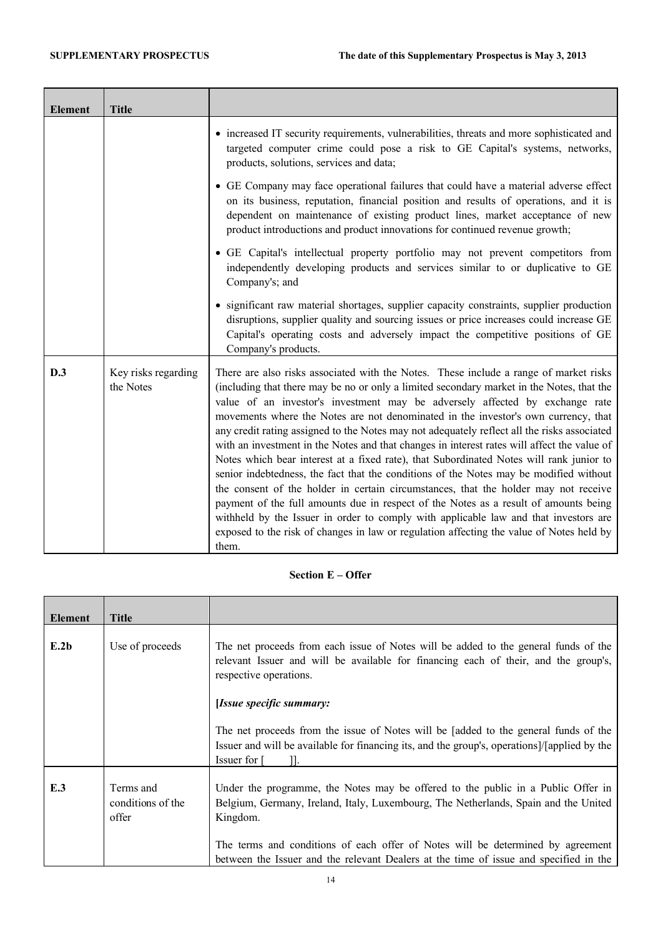| <b>Element</b> | <b>Title</b>                     |                                                                                                                                                                                                                                                                                                                                                                                                                                                                                                                                                                                                                                                                                                                                                                                                                                                                                                                                                                                                                                                                                                                         |
|----------------|----------------------------------|-------------------------------------------------------------------------------------------------------------------------------------------------------------------------------------------------------------------------------------------------------------------------------------------------------------------------------------------------------------------------------------------------------------------------------------------------------------------------------------------------------------------------------------------------------------------------------------------------------------------------------------------------------------------------------------------------------------------------------------------------------------------------------------------------------------------------------------------------------------------------------------------------------------------------------------------------------------------------------------------------------------------------------------------------------------------------------------------------------------------------|
|                |                                  | • increased IT security requirements, vulnerabilities, threats and more sophisticated and<br>targeted computer crime could pose a risk to GE Capital's systems, networks,<br>products, solutions, services and data;                                                                                                                                                                                                                                                                                                                                                                                                                                                                                                                                                                                                                                                                                                                                                                                                                                                                                                    |
|                |                                  | • GE Company may face operational failures that could have a material adverse effect<br>on its business, reputation, financial position and results of operations, and it is<br>dependent on maintenance of existing product lines, market acceptance of new<br>product introductions and product innovations for continued revenue growth;                                                                                                                                                                                                                                                                                                                                                                                                                                                                                                                                                                                                                                                                                                                                                                             |
|                |                                  | • GE Capital's intellectual property portfolio may not prevent competitors from<br>independently developing products and services similar to or duplicative to GE<br>Company's; and                                                                                                                                                                                                                                                                                                                                                                                                                                                                                                                                                                                                                                                                                                                                                                                                                                                                                                                                     |
|                |                                  | • significant raw material shortages, supplier capacity constraints, supplier production<br>disruptions, supplier quality and sourcing issues or price increases could increase GE<br>Capital's operating costs and adversely impact the competitive positions of GE<br>Company's products.                                                                                                                                                                                                                                                                                                                                                                                                                                                                                                                                                                                                                                                                                                                                                                                                                             |
| D.3            | Key risks regarding<br>the Notes | There are also risks associated with the Notes. These include a range of market risks<br>(including that there may be no or only a limited secondary market in the Notes, that the<br>value of an investor's investment may be adversely affected by exchange rate<br>movements where the Notes are not denominated in the investor's own currency, that<br>any credit rating assigned to the Notes may not adequately reflect all the risks associated<br>with an investment in the Notes and that changes in interest rates will affect the value of<br>Notes which bear interest at a fixed rate), that Subordinated Notes will rank junior to<br>senior indebtedness, the fact that the conditions of the Notes may be modified without<br>the consent of the holder in certain circumstances, that the holder may not receive<br>payment of the full amounts due in respect of the Notes as a result of amounts being<br>withheld by the Issuer in order to comply with applicable law and that investors are<br>exposed to the risk of changes in law or regulation affecting the value of Notes held by<br>them. |

# **Section E – Offer**

| <b>Title</b>                            |                                                                                                                                                                                                                                                                                                                                                                 |
|-----------------------------------------|-----------------------------------------------------------------------------------------------------------------------------------------------------------------------------------------------------------------------------------------------------------------------------------------------------------------------------------------------------------------|
| Use of proceeds                         | The net proceeds from each issue of Notes will be added to the general funds of the<br>relevant Issuer and will be available for financing each of their, and the group's,<br>respective operations.                                                                                                                                                            |
|                                         | [Issue specific summary:                                                                                                                                                                                                                                                                                                                                        |
|                                         | The net proceeds from the issue of Notes will be [added to the general funds of the<br>Issuer and will be available for financing its, and the group's, operations]/[applied by the<br>Issuer for [                                                                                                                                                             |
| Terms and<br>conditions of the<br>offer | Under the programme, the Notes may be offered to the public in a Public Offer in<br>Belgium, Germany, Ireland, Italy, Luxembourg, The Netherlands, Spain and the United<br>Kingdom.<br>The terms and conditions of each offer of Notes will be determined by agreement<br>between the Issuer and the relevant Dealers at the time of issue and specified in the |
|                                         |                                                                                                                                                                                                                                                                                                                                                                 |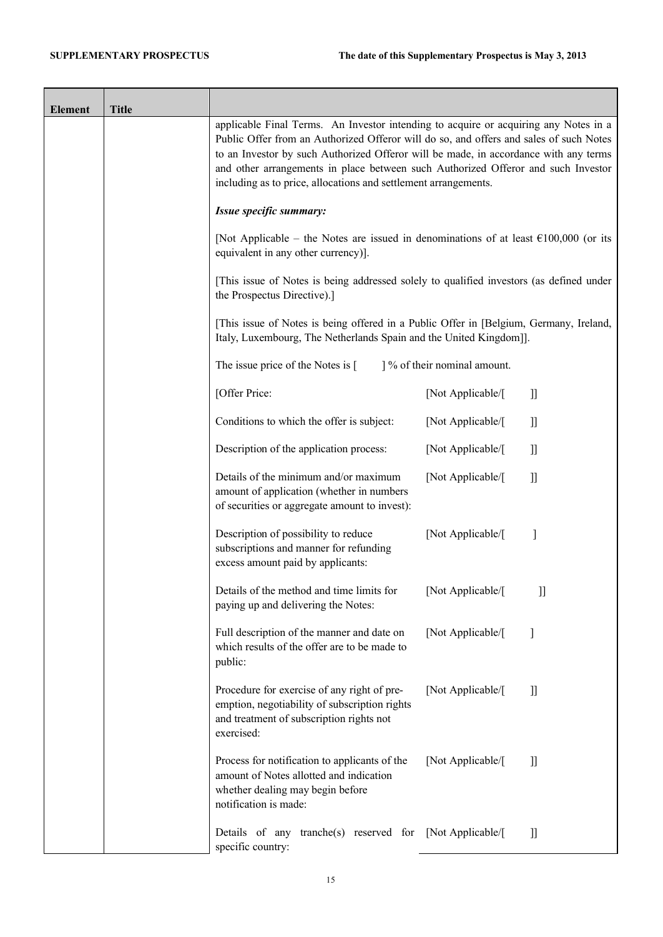| <b>Element</b> | <b>Title</b> |                                                                                                                                                                                                                                                                                                                                                                                                                                |                             |                                 |
|----------------|--------------|--------------------------------------------------------------------------------------------------------------------------------------------------------------------------------------------------------------------------------------------------------------------------------------------------------------------------------------------------------------------------------------------------------------------------------|-----------------------------|---------------------------------|
|                |              | applicable Final Terms. An Investor intending to acquire or acquiring any Notes in a<br>Public Offer from an Authorized Offeror will do so, and offers and sales of such Notes<br>to an Investor by such Authorized Offeror will be made, in accordance with any terms<br>and other arrangements in place between such Authorized Offeror and such Investor<br>including as to price, allocations and settlement arrangements. |                             |                                 |
|                |              | Issue specific summary:                                                                                                                                                                                                                                                                                                                                                                                                        |                             |                                 |
|                |              | [Not Applicable – the Notes are issued in denominations of at least $\epsilon$ 100,000 (or its<br>equivalent in any other currency)].                                                                                                                                                                                                                                                                                          |                             |                                 |
|                |              | [This issue of Notes is being addressed solely to qualified investors (as defined under<br>the Prospectus Directive).]                                                                                                                                                                                                                                                                                                         |                             |                                 |
|                |              | [This issue of Notes is being offered in a Public Offer in [Belgium, Germany, Ireland,<br>Italy, Luxembourg, The Netherlands Spain and the United Kingdom]].                                                                                                                                                                                                                                                                   |                             |                                 |
|                |              | The issue price of the Notes is [                                                                                                                                                                                                                                                                                                                                                                                              | 1% of their nominal amount. |                                 |
|                |              | [Offer Price:                                                                                                                                                                                                                                                                                                                                                                                                                  | [Not Applicable/[           | $\left.\rule{0pt}{10pt}\right]$ |
|                |              | Conditions to which the offer is subject:                                                                                                                                                                                                                                                                                                                                                                                      | [Not Applicable/[           | $\left.\rule{0pt}{10pt}\right]$ |
|                |              | Description of the application process:                                                                                                                                                                                                                                                                                                                                                                                        | [Not Applicable/[           | $\mathbf{J}$                    |
|                |              | Details of the minimum and/or maximum<br>amount of application (whether in numbers<br>of securities or aggregate amount to invest):                                                                                                                                                                                                                                                                                            | [Not Applicable/[           | $\mathbf{J}$                    |
|                |              | Description of possibility to reduce<br>subscriptions and manner for refunding<br>excess amount paid by applicants:                                                                                                                                                                                                                                                                                                            | [Not Applicable/[           |                                 |
|                |              | Details of the method and time limits for<br>paying up and delivering the Notes:                                                                                                                                                                                                                                                                                                                                               | [Not Applicable/[           | $\left\lbrack \right\rbrack$    |
|                |              | Full description of the manner and date on<br>which results of the offer are to be made to<br>public:                                                                                                                                                                                                                                                                                                                          | [Not Applicable/[           | 1                               |
|                |              | Procedure for exercise of any right of pre-<br>emption, negotiability of subscription rights<br>and treatment of subscription rights not<br>exercised:                                                                                                                                                                                                                                                                         | [Not Applicable/[           | $\mathbf l$                     |
|                |              | Process for notification to applicants of the<br>amount of Notes allotted and indication<br>whether dealing may begin before<br>notification is made:                                                                                                                                                                                                                                                                          | [Not Applicable/[           | I                               |
|                |              | Details of any tranche(s) reserved for [Not Applicable/[<br>specific country:                                                                                                                                                                                                                                                                                                                                                  |                             | $\left.\rule{0pt}{10pt}\right]$ |